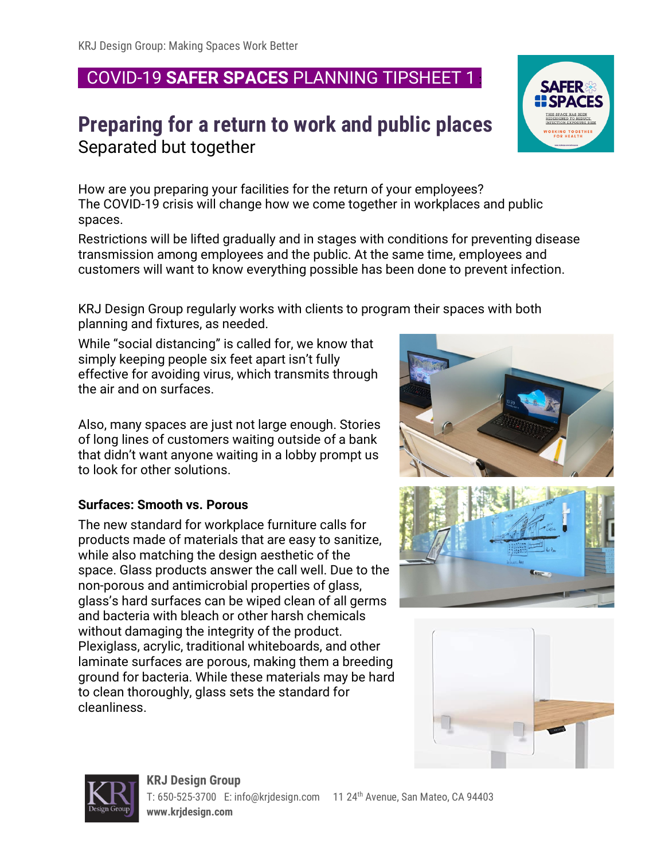## COVID-19 **SAFER SPACES** PLANNING TIPSHEET 1 :

## **Preparing for a return to work and public places** Separated but together

How are you preparing your facilities for the return of your employees? The COVID-19 crisis will change how we come together in workplaces and public spaces.

Restrictions will be lifted gradually and in stages with conditions for preventing disease transmission among employees and the public. At the same time, employees and customers will want to know everything possible has been done to prevent infection.

KRJ Design Group regularly works with clients to program their spaces with both planning and fixtures, as needed.

While "social distancing" is called for, we know that simply keeping people six feet apart isn't fully effective for avoiding virus, which transmits through the air and on surfaces.

Also, many spaces are just not large enough. Stories of long lines of customers waiting outside of a bank that didn't want anyone waiting in a lobby prompt us to look for other solutions.

## **Surfaces: Smooth vs. Porous**

The new standard for workplace furniture calls for products made of materials that are easy to sanitize, while also matching the design aesthetic of the space. Glass products answer the call well. Due to the non-porous and antimicrobial properties of glass, glass's hard surfaces can be wiped clean of all germs and bacteria with bleach or other harsh chemicals without damaging the integrity of the product. Plexiglass, acrylic, traditional whiteboards, and other laminate surfaces are porous, making them a breeding ground for bacteria. While these materials may be hard to clean thoroughly, glass sets the standard for cleanliness.